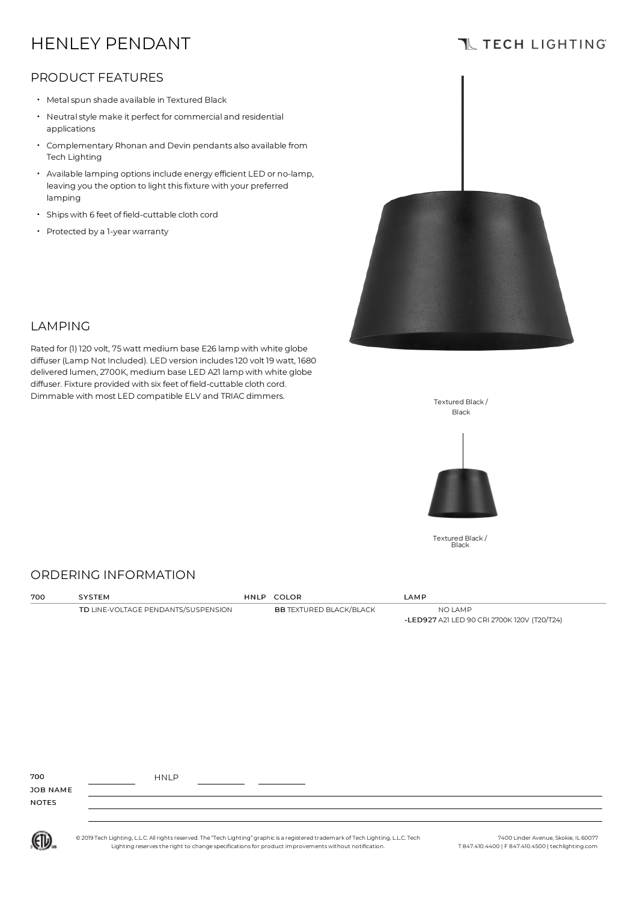# HENLEY PENDANT

## **TL TECH LIGHTING**

### PRODUCT FEATURES

- Metalspun shade available in Textured Black
- Neutral style make it perfect for commercial and residential applications
- Complementary Rhonan and Devin pendants also available from Tech Lighting
- Available lamping optionsinclude energy efficient LED or no-lamp, leaving you the option to light thisfixture with your preferred lamping •
- Ships with <sup>6</sup> feet of field-cuttable cloth cord
- Protected by <sup>a</sup> 1-year warranty



#### LAMPING

Rated for (1) 120 volt, 75 watt medium base E26 lamp with white globe diffuser (Lamp Not Included). LED version includes120 volt 19 watt, 1680 delivered lumen,2700K, medium base LED A21 lamp with white globe diffuser. Fixture provided with six feet of field-cuttable cloth cord. Dimmable with most LED compatible ELV and TRIAC dimmers.





Textured Black / Black

### ORDERING INFORMATION

| 700 | SYSTEM                              | HNLP COLOR                     | LAMP                                        |
|-----|-------------------------------------|--------------------------------|---------------------------------------------|
|     | TD LINE-VOLTAGE PENDANTS/SUSPENSION | <b>BB TEXTURED BLACK/BLACK</b> | NO LAMP                                     |
|     |                                     |                                | -LED927 A21 LED 90 CRI 2700K 120V (T20/T24) |
|     |                                     |                                |                                             |
|     |                                     |                                |                                             |
|     |                                     |                                |                                             |
|     |                                     |                                |                                             |
|     |                                     |                                |                                             |

| 700          | <b>HNLP</b> |  |  |
|--------------|-------------|--|--|
| JOB NAME     |             |  |  |
| <b>NOTES</b> |             |  |  |
|              |             |  |  |



© 2019 Tech Lighting, L.L.C. All rightsreserved.The "Tech Lighting" graphicis a registered trademark ofTech Lighting, L.L.C.Tech Lighting reservesthe right to change specificationsfor product improvements without notification.